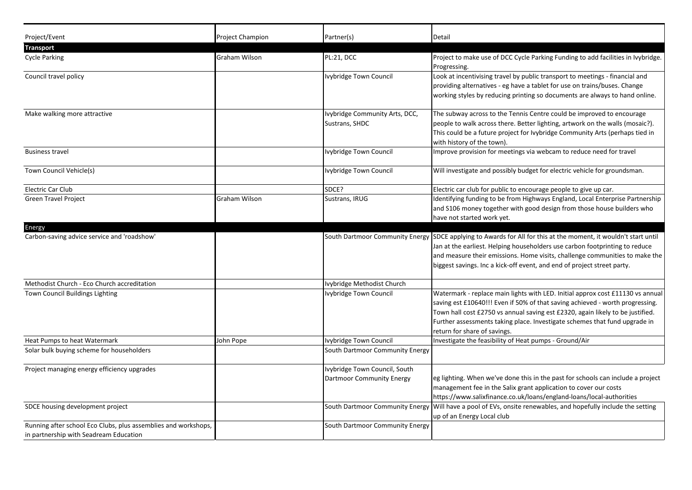| Project/Event<br><b>Transport</b>                                                                        | <b>Project Champion</b> | Partner(s)                                                 | Detail                                                                                                                                                                                                                                                                                                                                                          |
|----------------------------------------------------------------------------------------------------------|-------------------------|------------------------------------------------------------|-----------------------------------------------------------------------------------------------------------------------------------------------------------------------------------------------------------------------------------------------------------------------------------------------------------------------------------------------------------------|
| <b>Cycle Parking</b>                                                                                     | Graham Wilson           | PL:21, DCC                                                 | Project to make use of DCC Cycle Parking Funding to add facilities in Ivybridge.<br>Progressing.                                                                                                                                                                                                                                                                |
| Council travel policy                                                                                    |                         | Ivybridge Town Council                                     | Look at incentivising travel by public transport to meetings - financial and<br>providing alternatives - eg have a tablet for use on trains/buses. Change<br>working styles by reducing printing so documents are always to hand online.                                                                                                                        |
| Make walking more attractive                                                                             |                         | Ivybridge Community Arts, DCC,<br>Sustrans, SHDC           | The subway across to the Tennis Centre could be improved to encourage<br>people to walk across there. Better lighting, artwork on the walls (mosaic?).<br>This could be a future project for Ivybridge Community Arts (perhaps tied in<br>with history of the town).                                                                                            |
| <b>Business travel</b>                                                                                   |                         | Ivybridge Town Council                                     | Improve provision for meetings via webcam to reduce need for travel                                                                                                                                                                                                                                                                                             |
| Town Council Vehicle(s)                                                                                  |                         | Ivybridge Town Council                                     | Will investigate and possibly budget for electric vehicle for groundsman.                                                                                                                                                                                                                                                                                       |
| Electric Car Club                                                                                        |                         | SDCE?                                                      | Electric car club for public to encourage people to give up car.                                                                                                                                                                                                                                                                                                |
| <b>Green Travel Project</b>                                                                              | Graham Wilson           | Sustrans, IRUG                                             | Identifying funding to be from Highways England, Local Enterprise Partnership<br>and S106 money together with good design from those house builders who<br>have not started work yet.                                                                                                                                                                           |
| Energy                                                                                                   |                         |                                                            |                                                                                                                                                                                                                                                                                                                                                                 |
| Carbon-saving advice service and 'roadshow'                                                              |                         | South Dartmoor Community Energy                            | SDCE applying to Awards for All for this at the moment, it wouldn't start until<br>Jan at the earliest. Helping householders use carbon footprinting to reduce<br>and measure their emissions. Home visits, challenge communities to make the<br>biggest savings. Inc a kick-off event, and end of project street party.                                        |
| Methodist Church - Eco Church accreditation                                                              |                         | Ivybridge Methodist Church                                 |                                                                                                                                                                                                                                                                                                                                                                 |
| Town Council Buildings Lighting                                                                          |                         | Ivybridge Town Council                                     | Watermark - replace main lights with LED. Initial approx cost £11130 vs annual<br>saving est £10640!!! Even if 50% of that saving achieved - worth progressing.<br>Town hall cost £2750 vs annual saving est £2320, again likely to be justified.<br>Further assessments taking place. Investigate schemes that fund upgrade in<br>return for share of savings. |
| Heat Pumps to heat Watermark                                                                             | John Pope               | Ivybridge Town Council                                     | Investigate the feasibility of Heat pumps - Ground/Air                                                                                                                                                                                                                                                                                                          |
| Solar bulk buying scheme for householders                                                                |                         | South Dartmoor Community Energy                            |                                                                                                                                                                                                                                                                                                                                                                 |
| Project managing energy efficiency upgrades                                                              |                         | Ivybridge Town Council, South<br>Dartmoor Community Energy | eg lighting. When we've done this in the past for schools can include a project<br>management fee in the Salix grant application to cover our costs<br>https://www.salixfinance.co.uk/loans/england-loans/local-authorities                                                                                                                                     |
| SDCE housing development project                                                                         |                         | South Dartmoor Community Energy                            | Will have a pool of EVs, onsite renewables, and hopefully include the setting<br>up of an Energy Local club                                                                                                                                                                                                                                                     |
| Running after school Eco Clubs, plus assemblies and workshops,<br>in partnership with Seadream Education |                         | South Dartmoor Community Energy                            |                                                                                                                                                                                                                                                                                                                                                                 |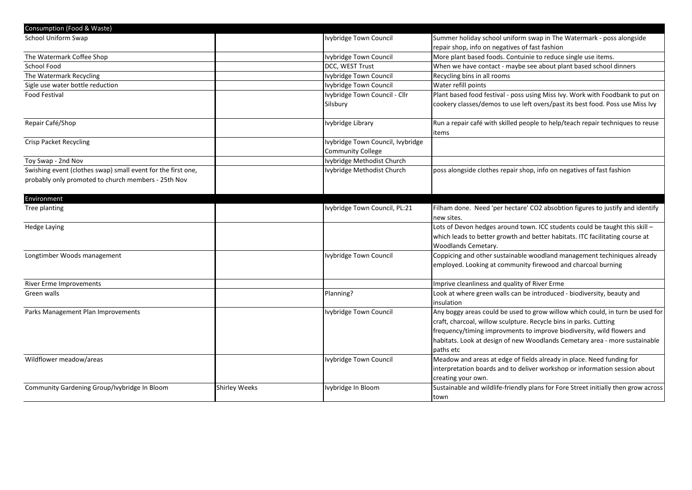| Consumption (Food & Waste)                                   |                      |                                   |                                                                                    |
|--------------------------------------------------------------|----------------------|-----------------------------------|------------------------------------------------------------------------------------|
| School Uniform Swap                                          |                      | Ivybridge Town Council            | Summer holiday school uniform swap in The Watermark - poss alongside               |
|                                                              |                      |                                   | repair shop, info on negatives of fast fashion                                     |
| The Watermark Coffee Shop                                    |                      | Ivybridge Town Council            | More plant based foods. Contuinie to reduce single use items.                      |
| School Food                                                  |                      | DCC, WEST Trust                   | When we have contact - maybe see about plant based school dinners                  |
| The Watermark Recycling                                      |                      | Ivybridge Town Council            | Recycling bins in all rooms                                                        |
| Sigle use water bottle reduction                             |                      | Ivybridge Town Council            | Water refill points                                                                |
| <b>Food Festival</b>                                         |                      | Ivybridge Town Council - Cllr     | Plant based food festival - poss using Miss Ivy. Work with Foodbank to put on      |
|                                                              |                      | Silsbury                          | cookery classes/demos to use left overs/past its best food. Poss use Miss Ivy      |
| Repair Café/Shop                                             |                      | Ivybridge Library                 | Run a repair café with skilled people to help/teach repair techniques to reuse     |
|                                                              |                      |                                   | items                                                                              |
| <b>Crisp Packet Recycling</b>                                |                      | Ivybridge Town Council, Ivybridge |                                                                                    |
|                                                              |                      | <b>Community College</b>          |                                                                                    |
| Toy Swap - 2nd Nov                                           |                      | Ivybridge Methodist Church        |                                                                                    |
| Swishing event (clothes swap) small event for the first one, |                      | Ivybridge Methodist Church        | poss alongside clothes repair shop, info on negatives of fast fashion              |
| probably only promoted to church members - 25th Nov          |                      |                                   |                                                                                    |
| Environment                                                  |                      |                                   |                                                                                    |
| Tree planting                                                |                      | Ivybridge Town Council, PL:21     | Filham done. Need 'per hectare' CO2 absobtion figures to justify and identify      |
|                                                              |                      |                                   | new sites.                                                                         |
| Hedge Laying                                                 |                      |                                   | Lots of Devon hedges around town. ICC students could be taught this skill -        |
|                                                              |                      |                                   | which leads to better growth and better habitats. ITC facilitating course at       |
|                                                              |                      |                                   | Woodlands Cemetary.                                                                |
| Longtimber Woods management                                  |                      | Ivybridge Town Council            | Coppicing and other sustainable woodland management techiniques already            |
|                                                              |                      |                                   | employed. Looking at community firewood and charcoal burning                       |
| <b>River Erme Improvements</b>                               |                      |                                   | Imprive cleanliness and quality of River Erme                                      |
| Green walls                                                  |                      | Planning?                         | Look at where green walls can be introduced - biodiversity, beauty and             |
|                                                              |                      |                                   | insulation                                                                         |
| Parks Management Plan Improvements                           |                      | Ivybridge Town Council            | Any boggy areas could be used to grow willow which could, in turn be used for      |
|                                                              |                      |                                   | craft, charcoal, willow sculpture. Recycle bins in parks. Cutting                  |
|                                                              |                      |                                   | frequency/timing improvments to improve biodiversity, wild flowers and             |
|                                                              |                      |                                   | habitats. Look at design of new Woodlands Cemetary area - more sustainable         |
|                                                              |                      |                                   | paths etc                                                                          |
| Wildflower meadow/areas                                      |                      | Ivybridge Town Council            | Meadow and areas at edge of fields already in place. Need funding for              |
|                                                              |                      |                                   | interpretation boards and to deliver workshop or information session about         |
|                                                              |                      |                                   | creating your own.                                                                 |
| Community Gardening Group/Ivybridge In Bloom                 | <b>Shirley Weeks</b> | Ivybridge In Bloom                | Sustainable and wildlife-friendly plans for Fore Street initially then grow across |
|                                                              |                      |                                   | town                                                                               |